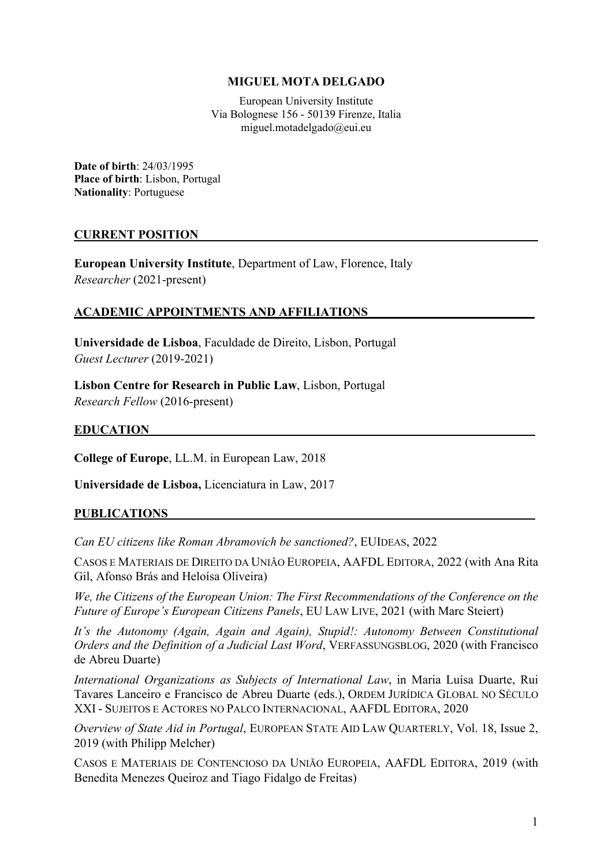### **MIGUEL MOTA DELGADO**

European University Institute Via Bolognese 156 - 50139 Firenze, Italia miguel.motadelgado@eui.eu

**Date of birth**: 24/03/1995 **Place of birth**: Lisbon, Portugal **Nationality**: Portuguese

#### **CURRENT POSITION**

**European University Institute**, Department of Law, Florence, Italy *Researcher* (2021-present)

#### **ACADEMIC APPOINTMENTS AND AFFILIATIONS\_\_\_\_\_\_\_\_\_\_\_\_\_\_\_\_\_\_\_\_\_\_\_\_\_\_\_**

**Universidade de Lisboa**, Faculdade de Direito, Lisbon, Portugal *Guest Lecturer* (2019-2021)

**Lisbon Centre for Research in Public Law**, Lisbon, Portugal *Research Fellow* (2016-present)

#### **EDUCATION**

**College of Europe**, LL.M. in European Law, 2018

**Universidade de Lisboa,** Licenciatura in Law, 2017

#### **PUBLICATIONS**

*Can EU citizens like Roman Abramovich be sanctioned?*, EUIDEAS, 2022

CASOS E MATERIAIS DE DIREITO DA UNIÃO EUROPEIA, AAFDL EDITORA, 2022 (with Ana Rita Gil, Afonso Brás and Heloísa Oliveira)

*We, the Citizens of the European Union: The First Recommendations of the Conference on the Future of Europe's European Citizens Panels*, EU LAW LIVE, 2021 (with Marc Steiert)

*It's the Autonomy (Again, Again and Again), Stupid!: Autonomy Between Constitutional Orders and the Definition of a Judicial Last Word*, VERFASSUNGSBLOG, 2020 (with Francisco de Abreu Duarte)

*International Organizations as Subjects of International Law*, in Maria Luísa Duarte, Rui Tavares Lanceiro e Francisco de Abreu Duarte (eds.), ORDEM JURÍDICA GLOBAL NO SÉCULO XXI - SUJEITOS E ACTORES NO PALCO INTERNACIONAL, AAFDL EDITORA, 2020

*Overview of State Aid in Portugal*, EUROPEAN STATE AID LAW QUARTERLY, Vol. 18, Issue 2, 2019 (with Philipp Melcher)

CASOS E MATERIAIS DE CONTENCIOSO DA UNIÃO EUROPEIA, AAFDL EDITORA, 2019 (with Benedita Menezes Queiroz and Tiago Fidalgo de Freitas)